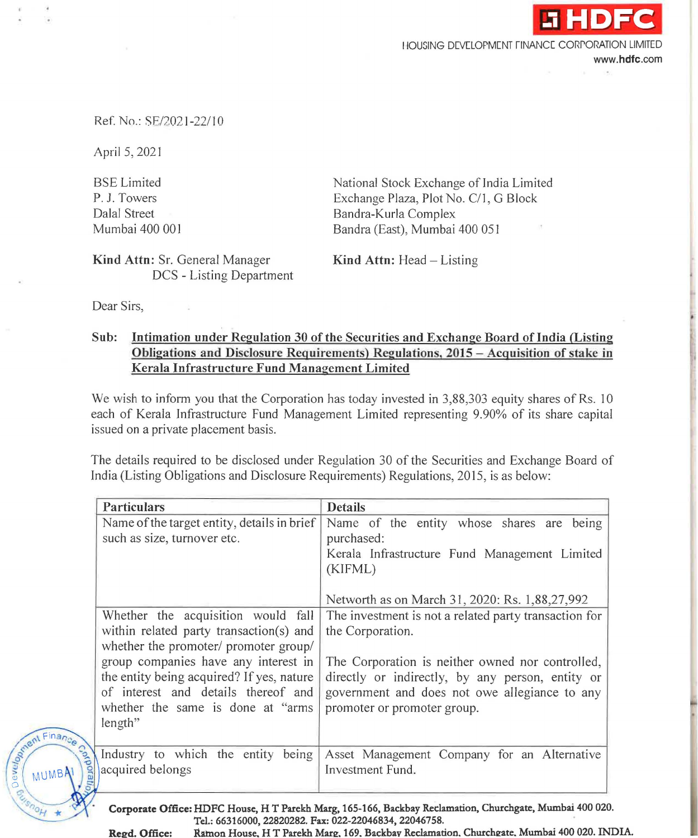HOUSING DEVELOPMENT FINANCE CORPORATION LIMITED

www.hdfc.com

**.i HDFC** 

## Ref. No.: SE/2021-22/10

April 5, 2021

BSE Limited P. J. Towers Dalal Street Mumbai 400 001 National Stock Exchange of India Limited Exchange Plaza, Plot No. C/J, G Block Bandra-Kurla Complex Sandra (East), Mumbai 400 051

Kind Attn: Sr. General Manager DCS - Listing Department Kind Attn: Head  $-$  Listing

Dear Sirs,

Report Finance

## Sub: Intimation under Regulation 30 of the Securities and Exchange Board oflndia (Listing Obligations and Disclosure Requirements) Regulations, 2015 - Acquisition of stake in Kerala Infrastructure Fund Management Limited

We wish to inform you that the Corporation has today invested in 3,88,303 equity shares of Rs. 10 each of Kerala Infrastructure Fund Management Limited representing 9.90% of its share capital issued on a private placement basis.

The details required to be disclosed under Regulation 30 of the Securities and Exchange Board of India (Listing Obligations and Disclosure Requirements) Regulations, 2015, is as below:

| Name of the target entity, details in brief<br>Name of the entity whose shares are being                                                                                                                                                                                                                                       |
|--------------------------------------------------------------------------------------------------------------------------------------------------------------------------------------------------------------------------------------------------------------------------------------------------------------------------------|
| purchased:<br>Kerala Infrastructure Fund Management Limited<br>(KIFML)                                                                                                                                                                                                                                                         |
| Networth as on March 31, 2020: Rs. 1,88,27,992                                                                                                                                                                                                                                                                                 |
| The investment is not a related party transaction for<br>the Corporation.<br>The Corporation is neither owned nor controlled,<br>directly or indirectly, by any person, entity or<br>government and does not owe allegiance to any<br>promoter or promoter group.                                                              |
| Asset Management Company for an Alternative<br>Investment Fund.                                                                                                                                                                                                                                                                |
| Whether the acquisition would fall<br>within related party transaction(s) and<br>whether the promoter/ promoter group/<br>group companies have any interest in<br>the entity being acquired? If yes, nature<br>of interest and details thereof and<br>whether the same is done at "arms"<br>Industry to which the entity being |

Tel.:66316000,22820282.Fax:022-22046834,22046758. Regd. Office: Ramon House. H.T. Parekh Marg. 169. Backbay Reclamation. Churchgate. Mumbai 400 020. INDIA